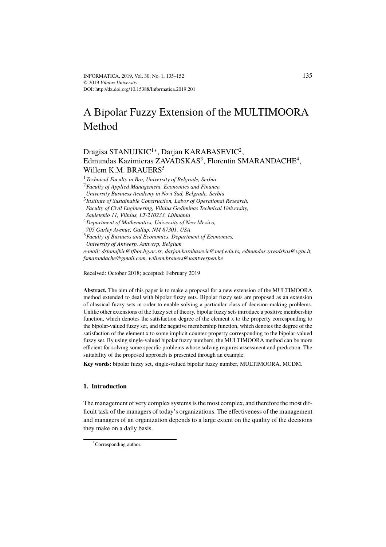# A Bipolar Fuzzy Extension of the MULTIMOORA Method

## Dragisa STANUJKI $C^{1*}$ , Darjan KARABASEVI $C^2$ , Edmundas Kazimieras ZAVADSKAS<sup>3</sup>, Florentin SMARANDACHE<sup>4</sup>, Willem K.M. BRAUERS<sup>5</sup>

<sup>1</sup>*Technical Faculty in Bor, University of Belgrade, Serbia*

<sup>2</sup>*Faculty of Applied Management, Economics and Finance,*

*University Business Academy in Novi Sad, Belgrade, Serbia*

3 *Institute of Sustainable Construction, Labor of Operational Research, Faculty of Civil Engineering, Vilnius Gediminas Technical University,*

*Sauletekio 11, Vilnius, LT-210233, Lithuania*

<sup>4</sup>*Department of Mathematics, University of New Mexico,*

*705 Gurley Avenue, Gallup, NM 87301, USA*

<sup>5</sup>*Faculty of Business and Economics, Department of Economics, University of Antwerp, Antwerp, Belgium*

*e-mail: dstanujkic@tfbor.bg.ac.rs, darjan.karabasevic@mef.edu.rs, edmundas.zavadskas@vgtu.lt, fsmarandache@gmail.com, willem.brauers@uantwerpen.be*

Received: October 2018; accepted: February 2019

**Abstract.** The aim of this paper is to make a proposal for a new extension of the MULTIMOORA method extended to deal with bipolar fuzzy sets. Bipolar fuzzy sets are proposed as an extension of classical fuzzy sets in order to enable solving a particular class of decision-making problems. Unlike other extensions of the fuzzy set of theory, bipolar fuzzy sets introduce a positive membership function, which denotes the satisfaction degree of the element x to the property corresponding to the bipolar-valued fuzzy set, and the negative membership function, which denotes the degree of the satisfaction of the element x to some implicit counter-property corresponding to the bipolar-valued fuzzy set. By using single-valued bipolar fuzzy numbers, the MULTIMOORA method can be more efficient for solving some specific problems whose solving requires assessment and prediction. The suitability of the proposed approach is presented through an example.

**Key words:** bipolar fuzzy set, single-valued bipolar fuzzy number, MULTIMOORA, MCDM.

## **1. Introduction**

The management of very complex systems is the most complex, and therefore the most difficult task of the managers of today's organizations. The effectiveness of the management and managers of an organization depends to a large extent on the quality of the decisions they make on a daily basis.

<sup>\*</sup>Corresponding author.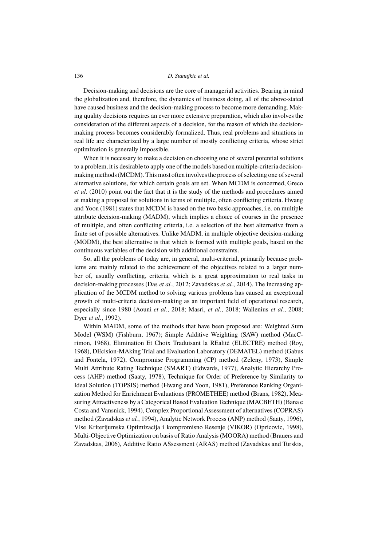Decision-making and decisions are the core of managerial activities. Bearing in mind the globalization and, therefore, the dynamics of business doing, all of the above-stated have caused business and the decision-making process to become more demanding. Making quality decisions requires an ever more extensive preparation, which also involves the consideration of the different aspects of a decision, for the reason of which the decisionmaking process becomes considerably formalized. Thus, real problems and situations in real life are characterized by a large number of mostly conflicting criteria, whose strict optimization is generally impossible.

When it is necessary to make a decision on choosing one of several potential solutions to a problem, it is desirable to apply one of the models based on multiple-criteria decisionmaking methods (MCDM). This most often involves the process of selecting one of several alternative solutions, for which certain goals are set. When MCDM is concerned, Greco *et al.* (2010) point out the fact that it is the study of the methods and procedures aimed at making a proposal for solutions in terms of multiple, often conflicting criteria. Hwang and Yoon (1981) states that MCDM is based on the two basic approaches, i.e. on multiple attribute decision-making (MADM), which implies a choice of courses in the presence of multiple, and often conflicting criteria, i.e. a selection of the best alternative from a finite set of possible alternatives. Unlike MADM, in multiple objective decision-making (MODM), the best alternative is that which is formed with multiple goals, based on the continuous variables of the decision with additional constraints.

So, all the problems of today are, in general, multi-criterial, primarily because problems are mainly related to the achievement of the objectives related to a larger number of, usually conflicting, criteria, which is a great approximation to real tasks in decision-making processes (Das *et al.*, 2012; Zavadskas *et al.*, 2014). The increasing application of the MCDM method to solving various problems has caused an exceptional growth of multi-criteria decision-making as an important field of operational research, especially since 1980 (Aouni *et al.*, 2018; Masri, *et al.*, 2018; Wallenius *et al.*, 2008; Dyer *et al.*, 1992).

Within MADM, some of the methods that have been proposed are: Weighted Sum Model (WSM) (Fishburn, 1967); Simple Additive Weighting (SAW) method (MacCrimon, 1968), Elimination Et Choix Traduisant la REalité (ELECTRE) method (Roy, 1968), DEcision-MAking Trial and Evaluation Laboratory (DEMATEL) method (Gabus and Fontela, 1972), Compromise Programming (CP) method (Zeleny, 1973), Simple Multi Attribute Rating Technique (SMART) (Edwards, 1977), Analytic Hierarchy Process (AHP) method (Saaty, 1978), Technique for Order of Preference by Similarity to Ideal Solution (TOPSIS) method (Hwang and Yoon, 1981), Preference Ranking Organization Method for Enrichment Evaluations (PROMETHEE) method (Brans, 1982), Measuring Attractiveness by a Categorical Based Evaluation Technique (MACBETH) (Bana e Costa and Vansnick, 1994), Complex Proportional Assessment of alternatives (COPRAS) method (Zavadskas *et al.*, 1994), Analytic Network Process (ANP) method (Saaty, 1996), Vlse Kriterijumska Optimizacija i kompromisno Resenje (VIKOR) (Opricovic, 1998), Multi-Objective Optimization on basis of Ratio Analysis (MOORA) method (Brauers and Zavadskas, 2006), Additive Ratio ASsessment (ARAS) method (Zavadskas and Turskis,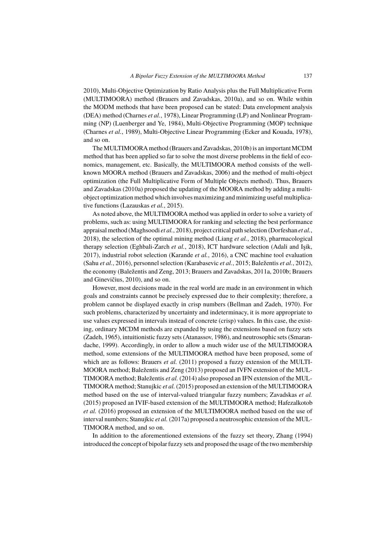2010), Multi-Objective Optimization by Ratio Analysis plus the Full Multiplicative Form (MULTIMOORA) method (Brauers and Zavadskas, 2010a), and so on. While within the MODM methods that have been proposed can be stated: Data envelopment analysis (DEA) method (Charnes *et al.*, 1978), Linear Programming (LP) and Nonlinear Programming (NP) (Luenberger and Ye, 1984), Multi-Objective Programming (MOP) technique (Charnes *et al.*, 1989), Multi-Objective Linear Programming (Ecker and Kouada, 1978), and so on.

The MULTIMOORA method (Brauers and Zavadskas, 2010b) is an important MCDM method that has been applied so far to solve the most diverse problems in the field of economics, management, etc. Basically, the MULTIMOORA method consists of the wellknown MOORA method (Brauers and Zavadskas, 2006) and the method of multi-object optimization (the Full Multiplicative Form of Multiple Objects method). Thus, Brauers and Zavadskas (2010a) proposed the updating of the MOORA method by adding a multiobject optimization method which involves maximizing and minimizing useful multiplicative functions (Lazauskas *et al.*, 2015).

As noted above, the MULTIMOORA method was applied in order to solve a variety of problems, such as: using MULTIMOORA for ranking and selecting the best performance appraisal method (Maghsoodi *et al.*, 2018), project critical path selection (Dorfeshan *et al.*, 2018), the selection of the optimal mining method (Liang *et al.*, 2018), pharmacological therapy selection (Eghbali-Zarch *et al.*, 2018), ICT hardware selection (Adali and Işik, 2017), industrial robot selection (Karande *et al.*, 2016), a CNC machine tool evaluation (Sahu *et al.*, 2016), personnel selection (Karabasevic *et al.*, 2015; Baležentis *et al.*, 2012), the economy (Baležentis and Zeng, 2013; Brauers and Zavadskas, 2011a, 2010b; Brauers and Ginevičius, 2010), and so on.

However, most decisions made in the real world are made in an environment in which goals and constraints cannot be precisely expressed due to their complexity; therefore, a problem cannot be displayed exactly in crisp numbers (Bellman and Zadeh, 1970). For such problems, characterized by uncertainty and indeterminacy, it is more appropriate to use values expressed in intervals instead of concrete (crisp) values. In this case, the existing, ordinary MCDM methods are expanded by using the extensions based on fuzzy sets (Zadeh, 1965), intuitionistic fuzzy sets (Atanassov, 1986), and neutrosophic sets (Smarandache, 1999). Accordingly, in order to allow a much wider use of the MULTIMOORA method, some extensions of the MULTIMOORA method have been proposed, some of which are as follows: Brauers *et al.* (2011) proposed a fuzzy extension of the MULTI-MOORA method; Baležentis and Zeng (2013) proposed an IVFN extension of the MUL-TIMOORA method; Baležentis *et al.* (2014) also proposed an IFN extension of the MUL-TIMOORA method; Stanujkic *et al.* (2015) proposed an extension of the MULTIMOORA method based on the use of interval-valued triangular fuzzy numbers; Zavadskas *et al.* (2015) proposed an IVIF-based extension of the MULTIMOORA method; Hafezalkotob *et al.* (2016) proposed an extension of the MULTIMOORA method based on the use of interval numbers; Stanujkic *et al.* (2017a) proposed a neutrosophic extension of the MUL-TIMOORA method, and so on.

In addition to the aforementioned extensions of the fuzzy set theory, Zhang (1994) introduced the concept of bipolar fuzzy sets and proposed the usage of the two membership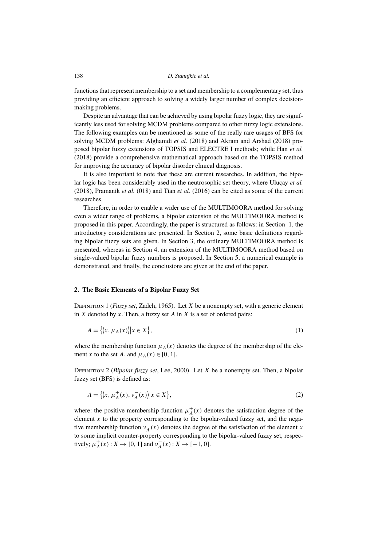functions that represent membership to a set and membership to a complementary set, thus providing an efficient approach to solving a widely larger number of complex decisionmaking problems.

Despite an advantage that can be achieved by using bipolar fuzzy logic, they are significantly less used for solving MCDM problems compared to other fuzzy logic extensions. The following examples can be mentioned as some of the really rare usages of BFS for solving MCDM problems: Alghamdi *et al.* (2018) and Akram and Arshad (2018) proposed bipolar fuzzy extensions of TOPSIS and ELECTRE I methods; while Han *et al.* (2018) provide a comprehensive mathematical approach based on the TOPSIS method for improving the accuracy of bipolar disorder clinical diagnosis.

It is also important to note that these are current researches. In addition, the bipolar logic has been considerably used in the neutrosophic set theory, where Uluçay *et al.* (2018), Pramanik *et al.* (018) and Tian *et al.* (2016) can be cited as some of the current researches.

Therefore, in order to enable a wider use of the MULTIMOORA method for solving even a wider range of problems, a bipolar extension of the MULTIMOORA method is proposed in this paper. Accordingly, the paper is structured as follows: in Section 1, the introductory considerations are presented. In Section 2, some basic definitions regarding bipolar fuzzy sets are given. In Section 3, the ordinary MULTIMOORA method is presented, whereas in Section 4, an extension of the MULTIMOORA method based on single-valued bipolar fuzzy numbers is proposed. In Section 5, a numerical example is demonstrated, and finally, the conclusions are given at the end of the paper.

#### **2. The Basic Elements of a Bipolar Fuzzy Set**

Definition 1 (*Fuzzy set*, Zadeh, 1965). Let X be a nonempty set, with a generic element in  $X$  denoted by  $x$ . Then, a fuzzy set  $A$  in  $X$  is a set of ordered pairs:

$$
A = \{ \langle x, \mu_A(x) \rangle | x \in X \},\tag{1}
$$

where the membership function  $\mu_A(x)$  denotes the degree of the membership of the element x to the set A, and  $\mu_A(x) \in [0, 1]$ .

Definition 2 (*Bipolar fuzzy set*, Lee, 2000). Let X be a nonempty set. Then, a bipolar fuzzy set (BFS) is defined as:

$$
A = \{ \langle x, \mu_A^+(x), \nu_A^-(x) \rangle | x \in X \},\tag{2}
$$

where: the positive membership function  $\mu_A^+(x)$  denotes the satisfaction degree of the element  $x$  to the property corresponding to the bipolar-valued fuzzy set, and the negative membership function  $v_A^-(x)$  denotes the degree of the satisfaction of the element x to some implicit counter-property corresponding to the bipolar-valued fuzzy set, respectively;  $\mu_A^+(x) : X \to [0, 1]$  and  $\nu_A^-(x) : X \to [-1, 0]$ .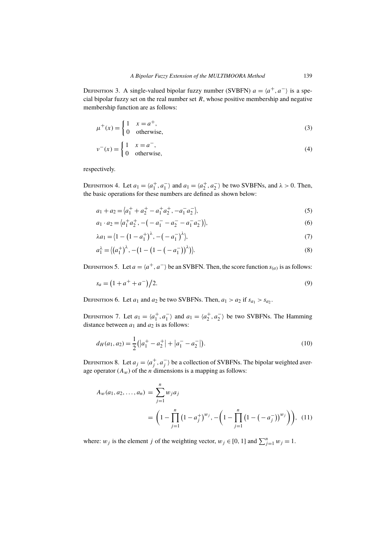DEFINITION 3. A single-valued bipolar fuzzy number (SVBFN)  $a = \langle a^+, a^- \rangle$  is a special bipolar fuzzy set on the real number set  $R$ , whose positive membership and negative membership function are as follows:

$$
\mu^+(x) = \begin{cases} 1 & x = a^+, \\ 0 & \text{otherwise,} \end{cases}
$$
 (3)

$$
v^{-}(x) = \begin{cases} 1 & x = a^{-}, \\ 0 & \text{otherwise,} \end{cases}
$$
 (4)

respectively.

DEFINITION 4. Let  $a_1 = \langle a_1^+, a_1^- \rangle$  and  $a_1 = \langle a_2^+, a_2^- \rangle$  be two SVBFNs, and  $\lambda > 0$ . Then, the basic operations for these numbers are defined as shown below:

$$
a_1 + a_2 = \langle a_1^+ + a_2^+ - a_1^+ a_2^+, -a_1^- a_2^- \rangle, \tag{5}
$$

$$
a_1 \cdot a_2 = \langle a_1^+ a_2^+, -(-a_1^- - a_2^- - a_1^- a_2^-) \rangle, \tag{6}
$$

$$
\lambda a_1 = \langle 1 - (1 - a_1^+)^\lambda, -(-a_1^-)^\lambda \rangle,\tag{7}
$$

$$
a_1^{\lambda} = \langle (a_1^+)^{\lambda}, -(1 - (1 - (-a_1^-))^{\lambda}) \rangle. \tag{8}
$$

DEFINITION 5. Let  $a = \langle a^+, a^-\rangle$  be an SVBFN. Then, the score function  $s_{(a)}$  is as follows:

$$
s_a = \left(1 + a^+ + a^-\right)/2. \tag{9}
$$

DEFINITION 6. Let  $a_1$  and  $a_2$  be two SVBFNs. Then,  $a_1 > a_2$  if  $s_{a_1} > s_{a_2}$ .

DEFINITION 7. Let  $a_1 = \langle a_1^+, a_1^- \rangle$  and  $a_1 = \langle a_2^+, a_2^- \rangle$  be two SVBFNs. The Hamming distance between  $a_1$  and  $a_2$  is as follows:

$$
d_H(a_1, a_2) = \frac{1}{2} (|a_1^+ - a_2^+| + |a_1^- - a_2^-|). \tag{10}
$$

DEFINITION 8. Let  $a_j = \langle a_j^+, a_j^- \rangle$  be a collection of SVBFNs. The bipolar weighted average operator  $(A_w)$  of the *n* dimensions is a mapping as follows:

$$
A_w(a_1, a_2, \dots, a_n) = \sum_{j=1}^n w_j a_j
$$
  
=  $\left(1 - \prod_{j=1}^n (1 - a_j^+)^{w_j}, -\left(1 - \prod_{j=1}^n (1 - (-a_j^-))^{w_j}\right)\right),$  (11)

where:  $w_j$  is the element j of the weighting vector,  $w_j \in [0, 1]$  and  $\sum_{j=1}^{n} w_j = 1$ .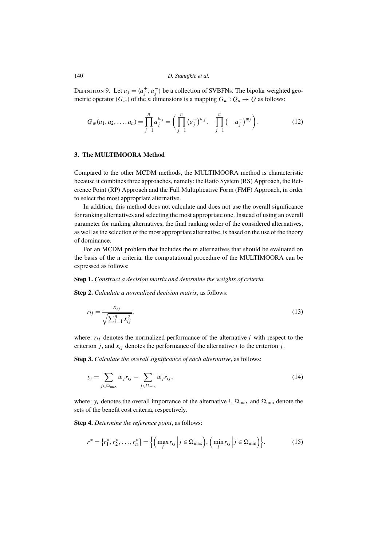DEFINITION 9. Let  $a_j = \langle a_j^+, a_j^- \rangle$  be a collection of SVBFNs. The bipolar weighted geometric operator ( $G_w$ ) of the *n* dimensions is a mapping  $G_w: Q_n \to Q$  as follows:

$$
G_w(a_1, a_2, \dots, a_n) = \prod_{j=1}^n a_j^{w_j} = \left(\prod_{j=1}^n (a_j^+)^{w_j}, -\prod_{j=1}^n (-a_j^-)^{w_j}\right).
$$
 (12)

#### **3. The MULTIMOORA Method**

Compared to the other MCDM methods, the MULTIMOORA method is characteristic because it combines three approaches, namely: the Ratio System (RS) Approach, the Reference Point (RP) Approach and the Full Multiplicative Form (FMF) Approach, in order to select the most appropriate alternative.

In addition, this method does not calculate and does not use the overall significance for ranking alternatives and selecting the most appropriate one. Instead of using an overall parameter for ranking alternatives, the final ranking order of the considered alternatives, as well as the selection of the most appropriate alternative, is based on the use of the theory of dominance.

For an MCDM problem that includes the m alternatives that should be evaluated on the basis of the n criteria, the computational procedure of the MULTIMOORA can be expressed as follows:

#### **Step 1.** *Construct a decision matrix and determine the weights of criteria.*

**Step 2.** *Calculate a normalized decision matrix*, as follows:

$$
r_{ij} = \frac{x_{ij}}{\sqrt{\sum_{i=1}^{n} x_{ij}^2}},\tag{13}
$$

where:  $r_{ij}$  denotes the normalized performance of the alternative i with respect to the criterion j, and  $x_{ij}$  denotes the performance of the alternative i to the criterion j.

**Step 3.** *Calculate the overall significance of each alternative*, as follows:

$$
y_i = \sum_{j \in \Omega_{\text{max}}} w_j r_{ij} - \sum_{j \in \Omega_{\text{min}}} w_j r_{ij}, \qquad (14)
$$

where:  $y_i$  denotes the overall importance of the alternative i,  $\Omega_{\text{max}}$  and  $\Omega_{\text{min}}$  denote the sets of the benefit cost criteria, respectively.

**Step 4.** *Determine the reference point*, as follows:

$$
r^* = \{r_1^*, r_2^*, \dots, r_n^*\} = \left\{ \left(\max_i r_{ij} \middle| j \in \Omega_{\text{max}}\right), \left(\min_i r_{ij} \middle| j \in \Omega_{\text{min}}\right) \right\}.
$$
 (15)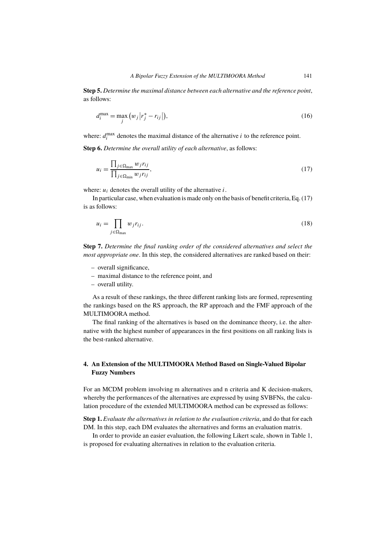**Step 5.** *Determine the maximal distance between each alternative and the reference point*, as follows:

$$
d_i^{\max} = \max_j (w_j | r_j^* - r_{ij} |), \qquad (16)
$$

where:  $d_i^{\max}$  $\sum_{i=1}^{\text{max}}$  denotes the maximal distance of the alternative *i* to the reference point.

**Step 6.** *Determine the overall utility of each alternative*, as follows:

$$
u_i = \frac{\prod_{j \in \Omega_{\text{max}}} w_j r_{ij}}{\prod_{j \in \Omega_{\text{min}}} w_j r_{ij}},\tag{17}
$$

where:  $u_i$  denotes the overall utility of the alternative i.

In particular case, when evaluation is made only on the basis of benefit criteria, Eq. (17) is as follows:

$$
u_i = \prod_{j \in \Omega_{\text{max}}} w_j r_{ij}.\tag{18}
$$

**Step 7.** *Determine the final ranking order of the considered alternatives and select the most appropriate one*. In this step, the considered alternatives are ranked based on their:

- overall significance,
- maximal distance to the reference point, and
- overall utility.

As a result of these rankings, the three different ranking lists are formed, representing the rankings based on the RS approach, the RP approach and the FMF approach of the MULTIMOORA method.

The final ranking of the alternatives is based on the dominance theory, i.e. the alternative with the highest number of appearances in the first positions on all ranking lists is the best-ranked alternative.

## **4. An Extension of the MULTIMOORA Method Based on Single-Valued Bipolar Fuzzy Numbers**

For an MCDM problem involving m alternatives and n criteria and K decision-makers, whereby the performances of the alternatives are expressed by using SVBFNs, the calculation procedure of the extended MULTIMOORA method can be expressed as follows:

**Step 1.** *Evaluate the alternatives in relation to the evaluation criteria*, and do that for each DM. In this step, each DM evaluates the alternatives and forms an evaluation matrix.

In order to provide an easier evaluation, the following Likert scale, shown in Table 1, is proposed for evaluating alternatives in relation to the evaluation criteria.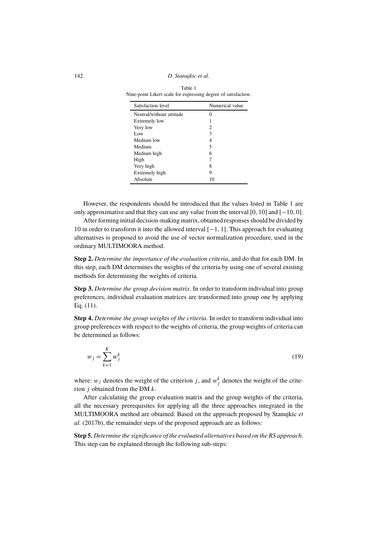142 *D. Stanujkic et al.*

| Table 1                                                        |
|----------------------------------------------------------------|
| Nine-point Likert scale for expressing degree of satisfaction. |

| Satisfaction level       | Numerical value |
|--------------------------|-----------------|
| Neutral/without attitude |                 |
| Extremely low            |                 |
| Very low                 | 2               |
| Low                      | 3               |
| Medium low               | 4               |
| Medium                   | 5               |
| Medium high              | 6               |
| High                     |                 |
| Very high                | 8               |
| Extremely high           | 9               |
| Absolute                 |                 |

However, the respondents should be introduced that the values listed in Table 1 are only approximative and that they can use any value from the interval [0, 10] and [−10, 0].

After forming initial decision-making matrix, obtained responses should be divided by 10 in order to transform it into the allowed interval [−1, 1]. This approach for evaluating alternatives is proposed to avoid the use of vector normalization procedure, used in the ordinary MULTIMOORA method.

**Step 2.** *Determine the importance of the evaluation criteria*, and do that for each DM. In this step, each DM determines the weights of the criteria by using one of several existing methods for determining the weights of criteria.

**Step 3.** *Determine the group decision matrix*. In order to transform individual into group preferences, individual evaluation matrices are transformed into group one by applying Eq. (11).

**Step 4.** *Determine the group weights of the criteria*. In order to transform individual into group preferences with respect to the weights of criteria, the group weights of criteria can be determined as follows:

$$
w_j = \sum_{k=1}^{K} w_j^k \tag{19}
$$

where:  $w_j$  denotes the weight of the criterion j, and  $w_j^k$  denotes the weight of the criterion  $i$  obtained from the DM  $k$ .

After calculating the group evaluation matrix and the group weights of the criteria, all the necessary prerequisites for applying all the three approaches integrated in the MULTIMOORA method are obtained. Based on the approach proposed by Stanujkic *et al.* (2017b), the remainder steps of the proposed approach are as follows:

**Step 5.** *Determine the significance of the evaluated alternatives based on the RS approach*. This step can be explained through the following sub-steps: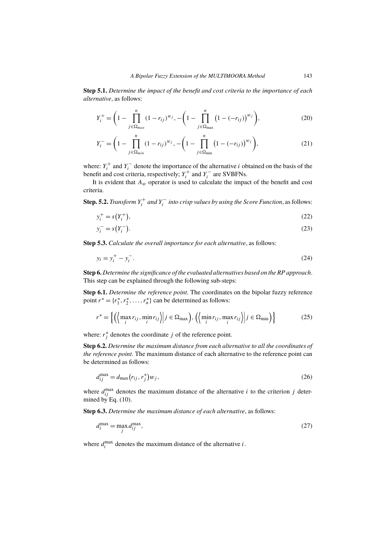**Step 5.1.** *Determine the impact of the benefit and cost criteria to the importance of each alternative*, as follows:

$$
Y_i^+ = \left(1 - \prod_{j \in \Omega_{max}}^n (1 - r_{ij})^{w_j}, -\left(1 - \prod_{j \in \Omega_{max}}^n (1 - (-r_{ij}))^{w_j}\right),\right)
$$
(20)

$$
Y_i^- = \left(1 - \prod_{j \in \Omega_{min}}^n (1 - r_{ij})^{w_j}, -\left(1 - \prod_{j \in \Omega_{min}}^n (1 - (-r_{ij}))^{w_j}\right),\right)
$$
(21)

where:  $Y_i^+$  and  $Y_i^-$  denote the importance of the alternative *i* obtained on the basis of the benefit and cost criteria, respectively;  $Y_i^+$  and  $Y_i^-$  are SVBFNs.

It is evident that  $A_w$  operator is used to calculate the impact of the benefit and cost criteria.

**Step. 5.2.** *Transform*  $Y_i^+$  *and*  $Y_i^-$  *into crisp values by using the Score Function*, as follows:

$$
y_i^+ = s(Y_i^+),
$$
 (22)

$$
y_i^- = s(Y_i^-). \tag{23}
$$

**Step 5.3.** *Calculate the overall importance for each alternative*, as follows:

$$
y_i = y_i^+ - y_i^-.
$$
\n<sup>(24)</sup>

**Step 6.** *Determine the significance of the evaluated alternatives based on the RP approach*. This step can be explained through the following sub-steps:

**Step 6.1.** *Determine the reference point*. The coordinates on the bipolar fuzzy reference point  $r^* = \{r_1^*, r_2^*, \dots, r_n^*\}$  can be determined as follows:

$$
r^* = \left\{ \left( \left\langle \max_i r_{ij}, \min_i r_{ij} \right\rangle \middle| j \in \Omega_{\text{max}} \right), \left( \left\langle \min_i r_{ij}, \max_i r_{ij} \right\rangle \middle| j \in \Omega_{\text{min}} \right) \right\} \tag{25}
$$

where:  $r_j^*$  denotes the coordinate j of the reference point.

**Step 6.2.** *Determine the maximum distance from each alternative to all the coordinates of the reference point*. The maximum distance of each alternative to the reference point can be determined as follows:

$$
d_{ij}^{\max} = d_{\max}(r_{ij}, r_j^*) w_j,
$$
\n<sup>(26)</sup>

where  $d_{ij}^{\text{max}}$  denotes the maximum distance of the alternative i to the criterion j determined by Eq.  $(10)$ .

**Step 6.3.** *Determine the maximum distance of each alternative*, as follows:

$$
d_i^{\max} = \max_j d_{ij}^{\max},\tag{27}
$$

where  $d_i^{\max}$  $\sum_{i=1}^{\text{max}}$  denotes the maximum distance of the alternative *i*.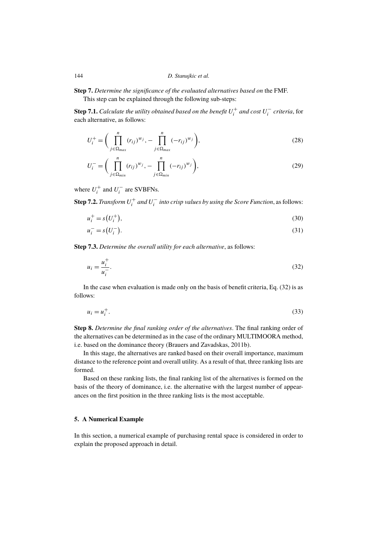**Step 7.** *Determine the significance of the evaluated alternatives based on* the FMF. This step can be explained through the following sub-steps:

 $\bf Step~7.1.~\it Calculate~the~utility~obtained~based~on~the~benefit~U^{+}_{i}~and~cost~U^{-}_{i}~criterion, for$ each alternative, as follows:

$$
U_i^+ = \bigg( \prod_{j \in \Omega_{max}}^n (r_{ij})^{w_j}, - \prod_{j \in \Omega_{max}}^n (-r_{ij})^{w_j} \bigg), \tag{28}
$$

$$
U_{i}^{-} = \bigg(\prod_{j \in \Omega_{min}}^{n} (r_{ij})^{w_{j}}, -\prod_{j \in \Omega_{min}}^{n} (-r_{ij})^{w_{j}}\bigg), \tag{29}
$$

where  $U_i^+$  and  $U_i^-$  are SVBFNs.

 $\mathbf{Step~7.2.}$  *Transform*  $U_i^+$  *and*  $U_i^-$  *into crisp values by using the Score Function*, as follows:

$$
u_i^+ = s(U_i^+),
$$
\n(30)

$$
u_i^- = s(U_i^-). \tag{31}
$$

**Step 7.3.** *Determine the overall utility for each alternative*, as follows:

$$
u_i = \frac{u_i^+}{u_i^-}.\tag{32}
$$

In the case when evaluation is made only on the basis of benefit criteria, Eq. (32) is as follows:

$$
u_i = u_i^+.\tag{33}
$$

**Step 8.** *Determine the final ranking order of the alternatives*. The final ranking order of the alternatives can be determined as in the case of the ordinary MULTIMOORA method, i.e. based on the dominance theory (Brauers and Zavadskas, 2011b).

In this stage, the alternatives are ranked based on their overall importance, maximum distance to the reference point and overall utility. As a result of that, three ranking lists are formed.

Based on these ranking lists, the final ranking list of the alternatives is formed on the basis of the theory of dominance, i.e. the alternative with the largest number of appearances on the first position in the three ranking lists is the most acceptable.

### **5. A Numerical Example**

In this section, a numerical example of purchasing rental space is considered in order to explain the proposed approach in detail.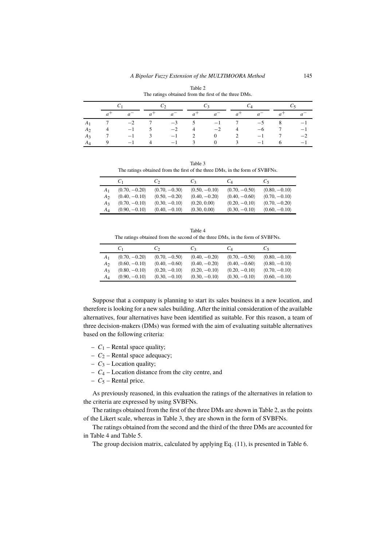|                |  |                | The rainigs obtained from the first of the three Divis. |              |          |   |                          |    |      |
|----------------|--|----------------|---------------------------------------------------------|--------------|----------|---|--------------------------|----|------|
|                |  |                |                                                         |              |          |   |                          |    |      |
|                |  | a <sup>1</sup> |                                                         |              |          |   |                          |    |      |
| $A_1$          |  |                | $-3$                                                    | 5            | $-1$     |   | $\rightarrow$            | δ. |      |
| A <sub>2</sub> |  |                | $-2$                                                    | 4            | $-2$     | 4 | —ი                       |    |      |
| $A_3$          |  |                | $-1$                                                    |              |          |   | $\overline{\phantom{0}}$ |    |      |
| $A_4$          |  |                | $\overline{\phantom{0}}$                                | $\mathbf{R}$ | $\Omega$ | 3 | $-1$                     |    | $-1$ |

Table 2 The ratings obtained from the first of the three DMs.

Table 3 The ratings obtained from the first of the three DMs, in the form of SVBFNs.

|                  | U1                            | $\mathcal{C}_{2}$ | $C_3$                        | $C_4$                         | Us.             |
|------------------|-------------------------------|-------------------|------------------------------|-------------------------------|-----------------|
| A <sub>1</sub>   | $\langle 0.70, -0.20 \rangle$ | $(0.70, -0.30)$   | $(0.50, -0.10)$              | $(0.70, -0.50)$               | $(0.80, -0.10)$ |
| A٥               | $(0.40, -0.10)$               | $(0.50, -0.20)$   | $(0.40, -0.20)$              | $(0.40, -0.60)$               | $(0.70, -0.10)$ |
| A3               | $(0.70, -0.10)$               | $(0.30, -0.10)$   | $\langle 0.20, 0.00 \rangle$ | $\langle 0.20, -0.10 \rangle$ | $(0.70, -0.20)$ |
| $A_{\varLambda}$ | $(0.90, -0.10)$               | $(0.40, -0.10)$   | $\langle 0.30, 0.00 \rangle$ | $(0.30, -0.10)$               | $(0.60, -0.10)$ |

Table 4 The ratings obtained from the second of the three DMs, in the form of SVBFNs.

|    | C <sub>1</sub>  | $\mathcal{C}_{2}$             | $C_3$           | $C_A$           | $C_{5}$         |
|----|-----------------|-------------------------------|-----------------|-----------------|-----------------|
| A1 | $(0.70, -0.20)$ | $(0.70, -0.50)$               | $(0.40, -0.20)$ | $(0.70, -0.50)$ | $(0.80, -0.10)$ |
| A2 | $(0.60, -0.10)$ | $(0.40, -0.60)$               | $(0.40, -0.20)$ | $(0.40, -0.60)$ | $(0.80, -0.10)$ |
| A3 | $(0.80, -0.10)$ | $\langle 0.20, -0.10 \rangle$ | $(0.20, -0.10)$ | $(0.20, -0.10)$ | $(0.70, -0.10)$ |
| AΔ | $(0.90, -0.10)$ | $(0.30, -0.10)$               | $(0.30, -0.10)$ | $(0.30, -0.10)$ | $(0.60, -0.10)$ |

Suppose that a company is planning to start its sales business in a new location, and therefore is looking for a new sales building. After the initial consideration of the available alternatives, four alternatives have been identified as suitable. For this reason, a team of three decision-makers (DMs) was formed with the aim of evaluating suitable alternatives based on the following criteria:

- $C_1$  Rental space quality;
- $C_2$  Rental space adequacy;
- $C_3$  Location quality;
- $C_4$  Location distance from the city centre, and
- $C_5$  Rental price.

As previously reasoned, in this evaluation the ratings of the alternatives in relation to the criteria are expressed by using SVBFNs.

The ratings obtained from the first of the three DMs are shown in Table 2, as the points of the Likert scale, whereas in Table 3, they are shown in the form of SVBFNs.

The ratings obtained from the second and the third of the three DMs are accounted for in Table 4 and Table 5.

The group decision matrix, calculated by applying Eq. (11), is presented in Table 6.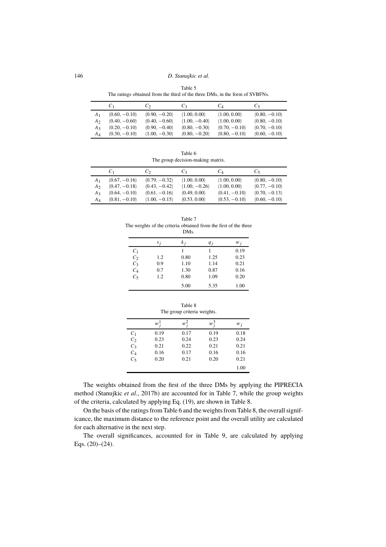Table 5 The ratings obtained from the third of the three DMs, in the form of SVBFNs.

|                | C <sub>1</sub>                | $\mathcal{C}_{2}$ | $C_3$                         | $C_{A}$                      | Č٢                            |
|----------------|-------------------------------|-------------------|-------------------------------|------------------------------|-------------------------------|
| A <sub>1</sub> | $\langle 0.60, -0.10 \rangle$ | $(0.90, -0.20)$   | $\langle 1.00, 0.00 \rangle$  | $\langle 1.00, 0.00 \rangle$ | $\langle 0.80, -0.10 \rangle$ |
| A٥             | $\langle 0.40, -0.60 \rangle$ | $(0.40, -0.60)$   | $(1.00, -0.40)$               | $\langle 1.00, 0.00 \rangle$ | $\langle 0.80, -0.10 \rangle$ |
| $A_3$          | $\langle 0.20, -0.10 \rangle$ | $(0.90, -0.40)$   | $\langle 0.80, -0.30 \rangle$ | $(0.70, -0.10)$              | $\langle 0.70, -0.10 \rangle$ |
| AΔ             | $(0.30, -0.10)$               | $(1.00, -0.30)$   | $\langle 0.80, -0.20 \rangle$ | $(0.80, -0.10)$              | $(0.60, -0.10)$               |

Table 6 The group decision-making matrix.

|                  | C1              | Cэ.             | $C_3$                        | Ċл                           | Üς              |
|------------------|-----------------|-----------------|------------------------------|------------------------------|-----------------|
| A1               | $(0.67, -0.16)$ | $(0.79, -0.32)$ | $\langle 1.00, 0.00 \rangle$ | $\langle 1.00, 0.00 \rangle$ | $(0.80, -0.10)$ |
| A2               | $(0.47, -0.18)$ | $(0.43, -0.42)$ | $(1.00, -0.26)$              | $\langle 1.00, 0.00 \rangle$ | $(0.77, -0.10)$ |
| A٩               | $(0.64, -0.10)$ | $(0.61, -0.16)$ | $\langle 0.49, 0.00 \rangle$ | $(0.41, -0.10)$              | $(0.70, -0.13)$ |
| $A_{\varLambda}$ | $(0.81, -0.10)$ | $(1.00, -0.15)$ | $\langle 0.53, 0.00 \rangle$ | $(0.53, -0.10)$              | $(0.60, -0.10)$ |

Table 7 The weights of the criteria obtained from the first of the three DMs.

|       | $S_{i}$ | k <sub>i</sub> | q <sub>i</sub> | $w_i$ |
|-------|---------|----------------|----------------|-------|
| $C_1$ |         |                |                | 0.19  |
| $C_2$ | 1.2     | 0.80           | 1.25           | 0.23  |
| $C_3$ | 0.9     | 1.10           | 1.14           | 0.21  |
| $C_4$ | 0.7     | 1.30           | 0.87           | 0.16  |
| $C_5$ | 1.2     | 0.80           | 1.09           | 0.20  |
|       |         | 5.00           | 5.35           | 1.00  |

|                   |             | Table 8<br>The group criteria weights. |       |       |
|-------------------|-------------|----------------------------------------|-------|-------|
|                   | $w^{\perp}$ | $w^2$                                  | $w^3$ | $w_i$ |
| $C_1$             | 0.19        | 0.17                                   | 0.19  | 0.18  |
| $C_2$             | 0.23        | 0.24                                   | 0.23  | 0.24  |
| $C_3$             | 0.21        | 0.22                                   | 0.21  | 0.21  |
|                   | 0.16        | 0.17                                   | 0.16  | 0.16  |
| $\frac{C_4}{C_5}$ | 0.20        | 0.21                                   | 0.20  | 0.21  |
|                   |             |                                        |       | 1.00  |

The weights obtained from the first of the three DMs by applying the PIPRECIA method (Stanujkic *et al.*, 2017b) are accounted for in Table 7, while the group weights of the criteria, calculated by applying Eq. (19), are shown in Table 8.

On the basis of the ratings from Table 6 and the weights from Table 8, the overall significance, the maximum distance to the reference point and the overall utility are calculated for each alternative in the next step.

The overall significances, accounted for in Table 9, are calculated by applying Eqs. (20)–(24).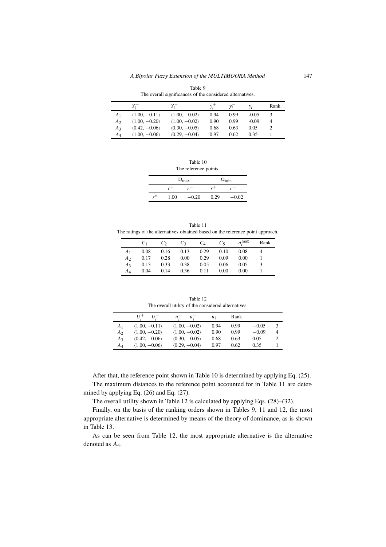|                | The overall significances of the considered alternatives. |                 |      |      |         |                |  |
|----------------|-----------------------------------------------------------|-----------------|------|------|---------|----------------|--|
|                |                                                           |                 |      |      | $y_i$   | Rank           |  |
| A <sub>1</sub> | $(1.00, -0.11)$                                           | $(1.00, -0.02)$ | 0.94 | 0.99 | $-0.05$ |                |  |
| A <sub>2</sub> | $\langle 1.00, -0.20 \rangle$                             | $(1.00, -0.02)$ | 0.90 | 0.99 | $-0.09$ | 4              |  |
| $A_3$          | $\langle 0.42, -0.06 \rangle$                             | $(0.30, -0.05)$ | 0.68 | 0.63 | 0.05    | $\overline{c}$ |  |
| $A_4$          | $(1.00, -0.06)$                                           | $(0.29, -0.04)$ | 0.97 | 0.62 | 0.35    |                |  |

 $A_4$   $\langle 1.00, -0.06 \rangle$   $\langle 0.29, -0.04 \rangle$  0.97 0.62 0.35 1

Table 9

Table 10 The reference points.

|    |      | $\Omega_{\text{max}}$ | $\Omega_{\rm min}$ |         |  |
|----|------|-----------------------|--------------------|---------|--|
|    |      | $\mathbf{r}$          | $r +$              | -       |  |
| r* | .00. | $-0.20$               | 0.29               | $-0.02$ |  |

|                                                                                 | Table 11 |  |
|---------------------------------------------------------------------------------|----------|--|
| The ratings of the alternatives obtained based on the reference point approach. |          |  |

|                | $C_{1}$ | $C_2$       | $C_3$ | $C_4$ | $C_{5}$ | $d_i^{\max}$ | Rank |
|----------------|---------|-------------|-------|-------|---------|--------------|------|
| A <sub>1</sub> | 0.08    | $0.16$ 0.13 |       | 0.29  | 0.10    | 0.08         |      |
| A <sub>2</sub> | 0.17    | 0.28        | 0.00  | 0.29  | 0.09    | 0.00         |      |
| $A_3$          | 0.13    | 0.33        | 0.38  | 0.05  | 0.06    | 0.05         |      |
| AΔ             | 0.04    | 0.14        | 0.36  | 0.11  | 0.00    | 0.00         |      |

Table 12 The overall utility of the considered alternatives.

|                   | $U^+$<br>U.     | u:<br>$u_{\cdot}$ | $u_i$ | Rank |         |   |
|-------------------|-----------------|-------------------|-------|------|---------|---|
| A <sub>1</sub>    | $(1.00, -0.11)$ | $(1.00, -0.02)$   | 0.94  | 0.99 | $-0.05$ | 3 |
| A <sub>2</sub>    | $(1.00, -0.20)$ | $(1.00, -0.02)$   | 0.90  | 0.99 | $-0.09$ | 4 |
| A3                | $(0.42, -0.06)$ | $(0.30, -0.05)$   | 0.68  | 0.63 | 0.05    |   |
| $A_{\mathcal{A}}$ | $(1.00, -0.06)$ | $(0.29, -0.04)$   | 0.97  | 0.62 | 0.35    |   |

After that, the reference point shown in Table 10 is determined by applying Eq. (25). The maximum distances to the reference point accounted for in Table 11 are determined by applying Eq. (26) and Eq. (27).

The overall utility shown in Table 12 is calculated by applying Eqs. (28)–(32).

Finally, on the basis of the ranking orders shown in Tables 9, 11 and 12, the most appropriate alternative is determined by means of the theory of dominance, as is shown in Table 13.

As can be seen from Table 12, the most appropriate alternative is the alternative denoted as A4.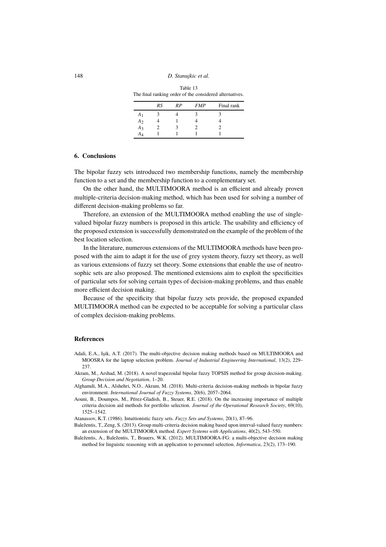Table 13 The final ranking order of the considered alternatives.

|                | RS | RP | <b>FMP</b> | Final rank |
|----------------|----|----|------------|------------|
| A <sub>1</sub> |    |    |            |            |
| A <sub>2</sub> |    |    |            |            |
| $A_3$          |    |    |            |            |
| A4             |    |    |            |            |

### **6. Conclusions**

The bipolar fuzzy sets introduced two membership functions, namely the membership function to a set and the membership function to a complementary set.

On the other hand, the MULTIMOORA method is an efficient and already proven multiple-criteria decision-making method, which has been used for solving a number of different decision-making problems so far.

Therefore, an extension of the MULTIMOORA method enabling the use of singlevalued bipolar fuzzy numbers is proposed in this article. The usability and efficiency of the proposed extension is successfully demonstrated on the example of the problem of the best location selection.

In the literature, numerous extensions of the MULTIMOORA methods have been proposed with the aim to adapt it for the use of grey system theory, fuzzy set theory, as well as various extensions of fuzzy set theory. Some extensions that enable the use of neutrosophic sets are also proposed. The mentioned extensions aim to exploit the specificities of particular sets for solving certain types of decision-making problems, and thus enable more efficient decision making.

Because of the specificity that bipolar fuzzy sets provide, the proposed expanded MULTIMOORA method can be expected to be acceptable for solving a particular class of complex decision-making problems.

### **References**

- Adali, E.A., Işik, A.T. (2017). The multi-objective decision making methods based on MULTIMOORA and MOOSRA for the laptop selection problem. *Journal of Industrial Engineering International*, 13(2), 229– 237.
- Akram, M., Arshad, M. (2018). A novel trapezoidal bipolar fuzzy TOPSIS method for group decision-making. *Group Decision and Negotiation*, 1–20.
- Alghamdi, M.A., Alshehri, N.O., Akram, M. (2018). Multi-criteria decision-making methods in bipolar fuzzy environment. *International Journal of Fuzzy Systems*, 20(6), 2057–2064.
- Aouni, B., Doumpos, M., Pérez-Gladish, B., Steuer, R.E. (2018). On the increasing importance of multiple criteria decision aid methods for portfolio selection. *Journal of the Operational Research Society*, 69(10), 1525–1542.

Atanassov, K.T. (1986). Intuitionistic fuzzy sets. *Fuzzy Sets and Systems*, 20(1), 87–96.

- Baležentis, T., Zeng, S. (2013). Group multi-criteria decision making based upon interval-valued fuzzy numbers: an extension of the MULTIMOORA method. *Expert Systems with Applications*, 40(2), 543–550.
- Baležentis, A., Baležentis, T., Brauers, W.K. (2012). MULTIMOORA-FG: a multi-objective decision making method for linguistic reasoning with an application to personnel selection. *Informatica*, 23(2), 173–190.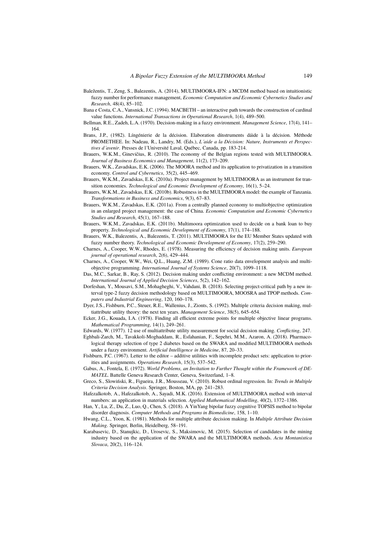- Baležentis, T., Zeng, S., Balezentis, A. (2014), MULTIMOORA-IFN: a MCDM method based on intuitionistic fuzzy number for performance management, *Economic Computation and Economic Cybernetics Studies and Research*, 48(4), 85–102.
- Bana e Costa, C.A., Vansnick, J.C. (1994). MACBETH an interactive path towards the construction of cardinal value functions. *International Transactions in Operational Research*, 1(4), 489–500.
- Bellman, R.E., Zadeh, L.A. (1970). Decision-making in a fuzzy environment. *Management Science*, 17(4), 141– 164.
- Brans, J.P., (1982). Língénierie de la décision. Elaboration dínstruments dáide à la décision. Méthode PROMETHEE. In: Nadeau, R., Landry, M. (Eds.), *L´aide a la Décision: Nature, Instruments et Perspectives d´avenir*. Presses de l´Université Laval, Québec, Canada, pp. 183-214.
- Brauers, W.K.M., Ginevičius, R. (2010). The economy of the Belgian regions tested with MULTIMOORA. *Journal of Business Economics and Management*, 11(2), 173–209.
- Brauers, W.K., Zavadskas, E.K. (2006). The MOORA method and its application to privatization in a transition economy. *Control and Cybernetics*, 35(2), 445–469.
- Brauers, W.K.M., Zavadskas, E.K. (2010a). Project management by MULTIMOORA as an instrument for transition economies. *Technological and Economic Development of Economy*, 16(1), 5–24.
- Brauers, W.K.M., Zavadskas, E.K. (2010b). Robustness in the MULTIMOORA model: the example of Tanzania. *Transformations in Business and Economics*, 9(3), 67–83.
- Brauers, W.K.M., Zavadskas, E.K. (2011a). From a centrally planned economy to multiobjective optimization in an enlarged project management: the case of China. *Economic Computation and Economic Cybernetics Studies and Research*, 45(1), 167–188.
- Brauers, W.K.M., Zavadskas, E.K. (2011b). Multimoora optimization used to decide on a bank loan to buy property. *Technological and Economic Development of Economy*, 17(1), 174–188.
- Brauers, W.K., Balezentis, A., Balezentis, T. (2011). MULTIMOORA for the EU Member States updated with fuzzy number theory. *Technological and Economic Development of Economy*, 17(2), 259–290.
- Charnes, A., Cooper, W.W., Rhodes, E. (1978). Measuring the efficiency of decision making units. *European journal of operational research*, 2(6), 429–444.
- Charnes, A., Cooper, W.W., Wei, Q.L., Huang, Z.M. (1989). Cone ratio data envelopment analysis and multiobjective programming. *International Journal of Systems Science*, 20(7), 1099–1118.
- Das, M.C., Sarkar, B., Ray, S. (2012). Decision making under conflicting environment: a new MCDM method. *International Journal of Applied Decision Sciences*, 5(2), 142–162.
- Dorfeshan, Y., Mousavi, S.M., Mohagheghi, V., Vahdani, B. (2018). Selecting project-critical path by a new interval type-2 fuzzy decision methodology based on MULTIMOORA, MOOSRA and TPOP methods. *Computers and Industrial Engineering*, 120, 160–178.
- Dyer, J.S., Fishburn, P.C., Steuer, R.E., Wallenius, J., Zionts, S. (1992). Multiple criteria decision making, multiattribute utility theory: the next ten years. *Management Science*, 38(5), 645–654.
- Ecker, J.G., Kouada, I.A. (1978). Finding all efficient extreme points for multiple objective linear programs. *Mathematical Programming*, 14(1), 249–261.

Edwards, W. (1977). 12 use of multiattribute utility measurement for social decision making. *Conflicting*, 247.

- Eghbali-Zarch, M., Tavakkoli-Moghaddam, R., Esfahanian, F., Sepehri, M.M., Azaron, A. (2018). Pharmacological therapy selection of type 2 diabetes based on the SWARA and modified MULTIMOORA methods under a fuzzy environment. *Artificial Intelligence in Medicine*, 87, 20–33.
- Fishburn, P.C. (1967). Letter to the editor additive utilities with incomplete product sets: application to priorities and assignments. *Operations Research*, 15(3), 537–542.
- Gabus, A., Fontela, E. (1972). *World Problems, an Invitation to Further Thought within the Framework of DE-MATEL*. Battelle Geneva Research Center, Geneva, Switzerland, 1–8.

Greco, S., Slowiński, R., Figueira, J.R., Mousseau, V. (2010). Robust ordinal regression. In: *Trends in Multiple Criteria Decision Analysis*. Springer, Boston, MA, pp. 241–283.

- Hafezalkotob, A., Hafezalkotob, A., Sayadi, M.K. (2016). Extension of MULTIMOORA method with interval numbers: an application in materials selection. *Applied Mathematical Modelling*, 40(2), 1372–1386.
- Han, Y., Lu, Z., Du, Z., Luo, Q., Chen, S. (2018). A YinYang bipolar fuzzy cognitive TOPSIS method to bipolar disorder diagnosis. *Computer Methods and Programs in Biomedicine*, 158, 1–10.
- Hwang, C.L., Yoon, K. (1981). Methods for multiple attribute decision making. In *Multiple Attribute Decision Making*. Springer, Berlin, Heidelberg, 58–191.
- Karabasevic, D., Stanujkic, D., Urosevic, S., Maksimovic, M. (2015). Selection of candidates in the mining industry based on the application of the SWARA and the MULTIMOORA methods. *Acta Montanistica Slovaca*, 20(2), 116–124.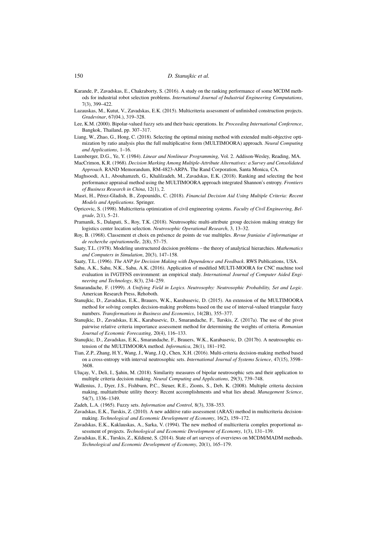- Karande, P., Zavadskas, E., Chakraborty, S. (2016). A study on the ranking performance of some MCDM methods for industrial robot selection problems. *International Journal of Industrial Engineering Computations*, 7(3), 399–422.
- Lazauskas, M., Kutut, V., Zavadskas, E.K. (2015). Multicriteria assessment of unfinished construction projects. *Gradevinar*, 67(04.), 319–328.
- Lee, K.M. (2000). Bipolar-valued fuzzy sets and their basic operations. In: *Proceeding International Conference*, Bangkok, Thailand, pp. 307–317.
- Liang, W., Zhao, G., Hong, C. (2018). Selecting the optimal mining method with extended multi-objective optimization by ratio analysis plus the full multiplicative form (MULTIMOORA) approach. *Neural Computing and Applications*, 1–16.

Luenberger, D.G., Ye, Y. (1984). *Linear and Nonlinear Programming*, Vol. 2. Addison-Wesley, Reading, MA.

- MacCrimon, K.R. (1968). *Decision Marking Among Multiple-Attribute Alternatives: a Survey and Consolidated Approach*. RAND Memorandum, RM-4823-ARPA. The Rand Corporation, Santa Monica, CA.
- Maghsoodi, A.I., Abouhamzeh, G., Khalilzadeh, M., Zavadskas, E.K. (2018). Ranking and selecting the best performance appraisal method using the MULTIMOORA approach integrated Shannon's entropy. *Frontiers of Business Research in China*, 12(1), 2.
- Masri, H., Pérez-Gladish, B., Zopounidis, C. (2018). *Financial Decision Aid Using Multiple Criteria: Recent Models and Applications*. Springer.
- Opricovic, S. (1998). Multicriteria optimization of civil engineering systems. *Faculty of Civil Engineering, Belgrade*, 2(1), 5–21.
- Pramanik, S., Dalapati, S., Roy, T.K. (2018). Neutrosophic multi-attribute group decision making strategy for logistics center location selection. *Neutrosophic Operational Research*, 3, 13–32.
- Roy, B. (1968). Classement et choix en présence de points de vue multiples. *Revue franiaise d'informatique et de recherche opérationnelle*, 2(8), 57–75.
- Saaty, T.L. (1978). Modeling unstructured decision problems the theory of analytical hierarchies. *Mathematics and Computers in Simulation*, 20(3), 147–158.
- Saaty, T.L. (1996). *The ANP for Decision Making with Dependence and Feedback*. RWS Publications, USA.
- Sahu, A.K., Sahu, N.K., Sahu, A.K. (2016). Application of modified MULTI-MOORA for CNC machine tool evaluation in IVGTFNS environment: an empirical study. *International Journal of Computer Aided Engineering and Technology*, 8(3), 234–259.
- Smarandache, F. (1999). *A Unifying Field in Logics. Neutrosophy: Neutrosophic Probability, Set and Logic*. American Research Press, Rehoboth.
- Stanujkic, D., Zavadskas, E.K., Brauers, W.K., Karabasevic, D. (2015). An extension of the MULTIMOORA method for solving complex decision-making problems based on the use of interval-valued triangular fuzzy numbers. *Transformations in Business and Economics*, 14(2B), 355–377.
- Stanujkic, D., Zavadskas, E.K., Karabasevic, D., Smarandache, F., Turskis, Z. (2017a). The use of the pivot pairwise relative criteria importance assessment method for determining the weights of criteria. *Romanian Journal of Economic Forecasting*, 20(4), 116–133.
- Stanujkic, D., Zavadskas, E.K., Smarandache, F., Brauers, W.K., Karabasevic, D. (2017b). A neutrosophic extension of the MULTIMOORA method. *Informatica*, 28(1), 181–192.
- Tian, Z.P., Zhang, H.Y., Wang, J., Wang, J.Q., Chen, X.H. (2016). Multi-criteria decision-making method based on a cross-entropy with interval neutrosophic sets. *International Journal of Systems Science*, 47(15), 3598– 3608.
- Uluçay, V., Deli, I., Şahin, M. (2018). Similarity measures of bipolar neutrosophic sets and their application to multiple criteria decision making. *Neural Computing and Applications*, 29(3), 739–748.
- Wallenius, J., Dyer, J.S., Fishburn, P.C., Steuer, R.E., Zionts, S., Deb, K. (2008). Multiple criteria decision making, multiattribute utility theory: Recent accomplishments and what lies ahead. *Management Science*, 54(7), 1336–1349.
- Zadeh, L.A. (1965). Fuzzy sets. *Information and Control*, 8(3), 338–353.
- Zavadskas, E.K., Turskis, Z. (2010). A new additive ratio assessment (ARAS) method in multicriteria decisionmaking. *Technological and Economic Development of Economy*, 16(2), 159–172.
- Zavadskas, E.K., Kaklauskas, A., Sarka, V. (1994). The new method of multicriteria complex proportional assessment of projects. *Technological and Economic Development of Economy*, 1(3), 131–139.
- Zavadskas, E.K., Turskis, Z., Kildienė, S. (2014). State of art surveys of overviews on MCDM/MADM methods. *Technological and Economic Development of Economy*, 20(1), 165–179.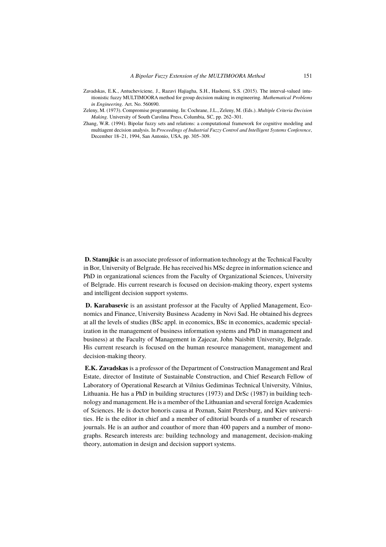- Zavadskas, E.K., Antucheviciene, J., Razavi Hajiagha, S.H., Hashemi, S.S. (2015). The interval-valued intuitionistic fuzzy MULTIMOORA method for group decision making in engineering. *Mathematical Problems in Engineering*. Art. No. 560690.
- Zeleny, M. (1973). Compromise programming. In: Cochrane, J.L., Zeleny, M. (Eds.). *Multiple Criteria Decision Making*. University of South Carolina Press, Columbia, SC, pp. 262–301.
- Zhang, W.R. (1994). Bipolar fuzzy sets and relations: a computational framework for cognitive modeling and multiagent decision analysis. In *Proceedings of Industrial Fuzzy Control and Intelligent Systems Conference*, December 18–21, 1994, San Antonio, USA, pp. 305–309.

**D. Stanujkic** is an associate professor of information technology at the Technical Faculty in Bor, University of Belgrade. He has received his MSc degree in information science and PhD in organizational sciences from the Faculty of Organizational Sciences, University of Belgrade. His current research is focused on decision-making theory, expert systems and intelligent decision support systems.

**D. Karabasevic** is an assistant professor at the Faculty of Applied Management, Economics and Finance, University Business Academy in Novi Sad. He obtained his degrees at all the levels of studies (BSc appl. in economics, BSc in economics, academic specialization in the management of business information systems and PhD in management and business) at the Faculty of Management in Zajecar, John Naisbitt University, Belgrade. His current research is focused on the human resource management, management and decision-making theory.

**E.K. Zavadskas** is a professor of the Department of Construction Management and Real Estate, director of Institute of Sustainable Construction, and Chief Research Fellow of Laboratory of Operational Research at Vilnius Gediminas Technical University, Vilnius, Lithuania. He has a PhD in building structures (1973) and DrSc (1987) in building technology and management. He is a member of the Lithuanian and several foreign Academies of Sciences. He is doctor honoris causa at Poznan, Saint Petersburg, and Kiev universities. He is the editor in chief and a member of editorial boards of a number of research journals. He is an author and coauthor of more than 400 papers and a number of monographs. Research interests are: building technology and management, decision-making theory, automation in design and decision support systems.